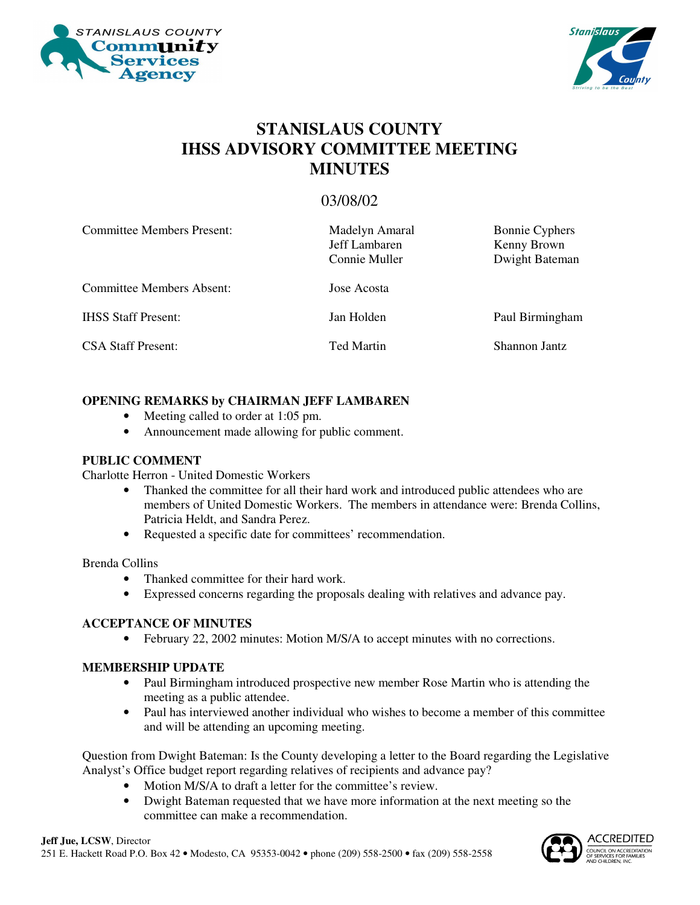



# **STANISLAUS COUNTY IHSS ADVISORY COMMITTEE MEETING MINUTES**

# 03/08/02

| <b>Committee Members Present:</b> | Madelyn Amaral<br>Jeff Lambaren<br>Connie Muller | <b>Bonnie Cyphers</b><br>Kenny Brown<br>Dwight Bateman |
|-----------------------------------|--------------------------------------------------|--------------------------------------------------------|
| <b>Committee Members Absent:</b>  | Jose Acosta                                      |                                                        |
| <b>IHSS Staff Present:</b>        | Jan Holden                                       | Paul Birmingham                                        |
| <b>CSA Staff Present:</b>         | <b>Ted Martin</b>                                | Shannon Jantz                                          |

#### **OPENING REMARKS by CHAIRMAN JEFF LAMBAREN**

- Meeting called to order at 1:05 pm.
- Announcement made allowing for public comment.

#### **PUBLIC COMMENT**

Charlotte Herron - United Domestic Workers

- Thanked the committee for all their hard work and introduced public attendees who are members of United Domestic Workers. The members in attendance were: Brenda Collins, Patricia Heldt, and Sandra Perez.
- Requested a specific date for committees' recommendation.

#### Brenda Collins

- Thanked committee for their hard work.
- Expressed concerns regarding the proposals dealing with relatives and advance pay.

#### **ACCEPTANCE OF MINUTES**

• February 22, 2002 minutes: Motion M/S/A to accept minutes with no corrections.

#### **MEMBERSHIP UPDATE**

- Paul Birmingham introduced prospective new member Rose Martin who is attending the meeting as a public attendee.
- Paul has interviewed another individual who wishes to become a member of this committee and will be attending an upcoming meeting.

Question from Dwight Bateman: Is the County developing a letter to the Board regarding the Legislative Analyst's Office budget report regarding relatives of recipients and advance pay?

- Motion M/S/A to draft a letter for the committee's review.
- Dwight Bateman requested that we have more information at the next meeting so the committee can make a recommendation.

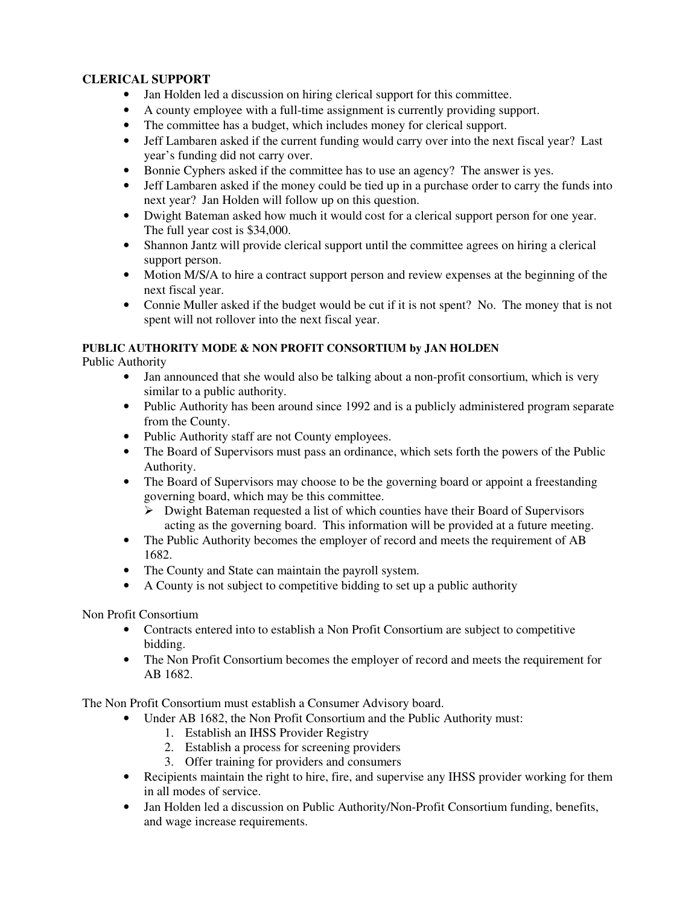### **CLERICAL SUPPORT**

- Jan Holden led a discussion on hiring clerical support for this committee.
- A county employee with a full-time assignment is currently providing support.
- The committee has a budget, which includes money for clerical support.
- Jeff Lambaren asked if the current funding would carry over into the next fiscal year? Last year's funding did not carry over.
- Bonnie Cyphers asked if the committee has to use an agency? The answer is yes.
- Jeff Lambaren asked if the money could be tied up in a purchase order to carry the funds into next year? Jan Holden will follow up on this question.
- Dwight Bateman asked how much it would cost for a clerical support person for one year. The full year cost is \$34,000.
- Shannon Jantz will provide clerical support until the committee agrees on hiring a clerical support person.
- Motion M/S/A to hire a contract support person and review expenses at the beginning of the next fiscal year.
- Connie Muller asked if the budget would be cut if it is not spent? No. The money that is not spent will not rollover into the next fiscal year.

## **PUBLIC AUTHORITY MODE & NON PROFIT CONSORTIUM by JAN HOLDEN**

Public Authority

- Jan announced that she would also be talking about a non-profit consortium, which is very similar to a public authority.
- Public Authority has been around since 1992 and is a publicly administered program separate from the County.
- Public Authority staff are not County employees.
- The Board of Supervisors must pass an ordinance, which sets forth the powers of the Public Authority.
- The Board of Supervisors may choose to be the governing board or appoint a freestanding governing board, which may be this committee.
	- $\triangleright$  Dwight Bateman requested a list of which counties have their Board of Supervisors acting as the governing board. This information will be provided at a future meeting.
- The Public Authority becomes the employer of record and meets the requirement of AB 1682.
- The County and State can maintain the payroll system.
- A County is not subject to competitive bidding to set up a public authority

Non Profit Consortium

- Contracts entered into to establish a Non Profit Consortium are subject to competitive bidding.
- The Non Profit Consortium becomes the employer of record and meets the requirement for AB 1682.

The Non Profit Consortium must establish a Consumer Advisory board.

- Under AB 1682, the Non Profit Consortium and the Public Authority must:
	- 1. Establish an IHSS Provider Registry
	- 2. Establish a process for screening providers
	- 3. Offer training for providers and consumers
- Recipients maintain the right to hire, fire, and supervise any IHSS provider working for them in all modes of service.
- Jan Holden led a discussion on Public Authority/Non-Profit Consortium funding, benefits, and wage increase requirements.